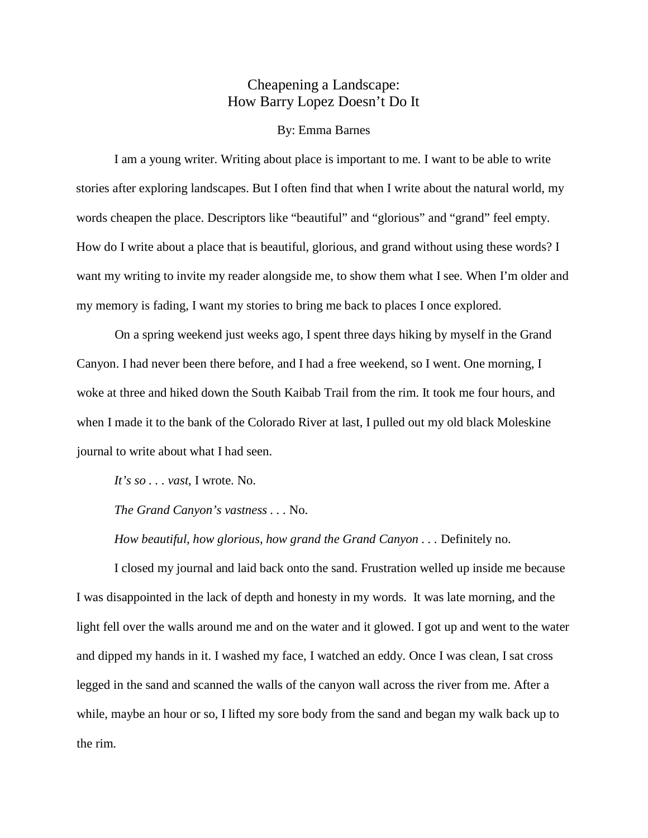## Cheapening a Landscape: How Barry Lopez Doesn't Do It

## By: Emma Barnes

I am a young writer. Writing about place is important to me. I want to be able to write stories after exploring landscapes. But I often find that when I write about the natural world, my words cheapen the place. Descriptors like "beautiful" and "glorious" and "grand" feel empty. How do I write about a place that is beautiful, glorious, and grand without using these words? I want my writing to invite my reader alongside me, to show them what I see. When I'm older and my memory is fading, I want my stories to bring me back to places I once explored.

On a spring weekend just weeks ago, I spent three days hiking by myself in the Grand Canyon. I had never been there before, and I had a free weekend, so I went. One morning, I woke at three and hiked down the South Kaibab Trail from the rim. It took me four hours, and when I made it to the bank of the Colorado River at last, I pulled out my old black Moleskine journal to write about what I had seen.

*It's so . . . vast,* I wrote. No.

*The Grand Canyon's vastness . . .* No.

*How beautiful, how glorious, how grand the Grand Canyon . . .* Definitely no.

I closed my journal and laid back onto the sand. Frustration welled up inside me because I was disappointed in the lack of depth and honesty in my words. It was late morning, and the light fell over the walls around me and on the water and it glowed. I got up and went to the water and dipped my hands in it. I washed my face, I watched an eddy. Once I was clean, I sat cross legged in the sand and scanned the walls of the canyon wall across the river from me. After a while, maybe an hour or so, I lifted my sore body from the sand and began my walk back up to the rim.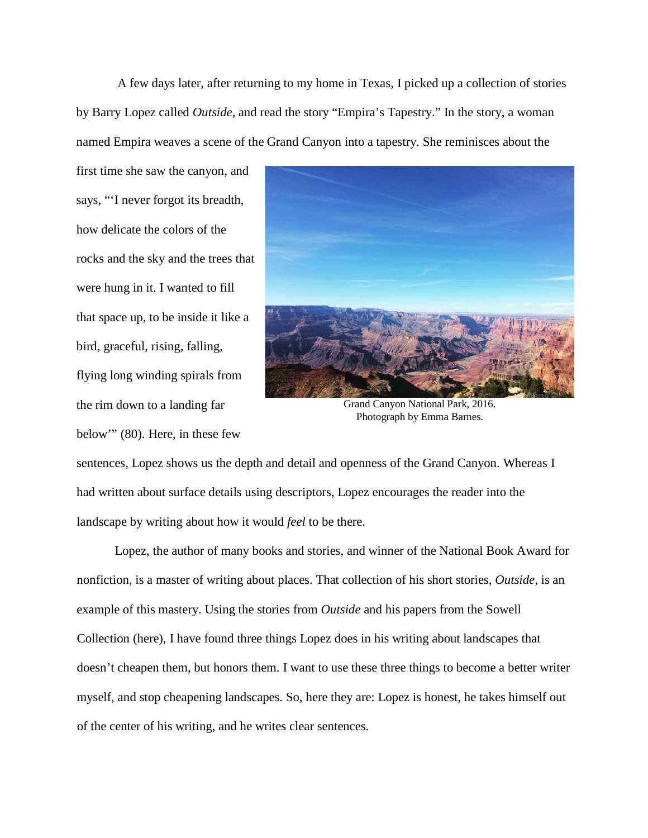A few days later, after returning to my home in Texas, I picked up a collection of stories by Barry Lopez called *Outside,* and read the story "Empira's Tapestry." In the story, a woman named Empira weaves a scene of the Grand Canyon into a tapestry. She reminisces about the

first time she saw the canyon, and says, "'I never forgot its breadth, how delicate the colors of the rocks and the sky and the trees that were hung in it. I wanted to fill that space up, to be inside it like a bird, graceful, rising, falling, flying long winding spirals from the rim down to a landing far below'" (80). Here, in these few



Grand Canyon National Park, 2016. Photograph by Emma Barnes.

sentences, Lopez shows us the depth and detail and openness of the Grand Canyon. Whereas I had written about surface details using descriptors, Lopez encourages the reader into the landscape by writing about how it would *feel* to be there.

Lopez, the author of many books and stories, and winner of the National Book Award for nonfiction, is a master of writing about places. That collection of his short stories, *Outside,* is an example of this mastery. Using the stories from *Outside* and his papers from the Sowell Collection (here), I have found three things Lopez does in his writing about landscapes that doesn't cheapen them, but honors them. I want to use these three things to become a better writer myself, and stop cheapening landscapes. So, here they are: Lopez is honest, he takes himself out of the center of his writing, and he writes clear sentences.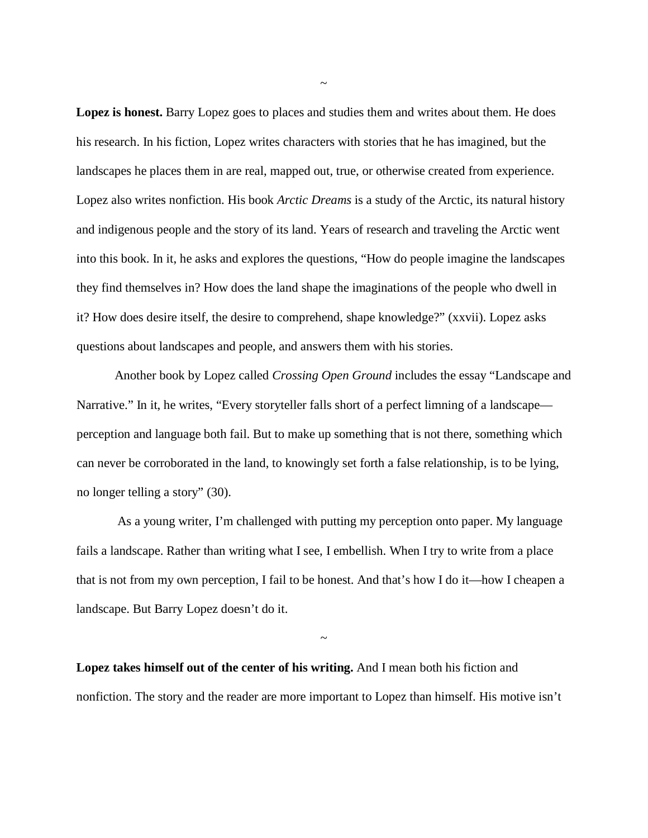**Lopez is honest.** Barry Lopez goes to places and studies them and writes about them. He does his research. In his fiction, Lopez writes characters with stories that he has imagined, but the landscapes he places them in are real, mapped out, true, or otherwise created from experience. Lopez also writes nonfiction. His book *Arctic Dreams* is a study of the Arctic, its natural history and indigenous people and the story of its land. Years of research and traveling the Arctic went into this book. In it, he asks and explores the questions, "How do people imagine the landscapes they find themselves in? How does the land shape the imaginations of the people who dwell in it? How does desire itself, the desire to comprehend, shape knowledge?" (xxvii). Lopez asks questions about landscapes and people, and answers them with his stories.

Another book by Lopez called *Crossing Open Ground* includes the essay "Landscape and Narrative." In it, he writes, "Every storyteller falls short of a perfect limning of a landscape perception and language both fail. But to make up something that is not there, something which can never be corroborated in the land, to knowingly set forth a false relationship, is to be lying, no longer telling a story" (30).

As a young writer, I'm challenged with putting my perception onto paper. My language fails a landscape. Rather than writing what I see, I embellish. When I try to write from a place that is not from my own perception, I fail to be honest. And that's how I do it—how I cheapen a landscape. But Barry Lopez doesn't do it.

**Lopez takes himself out of the center of his writing.** And I mean both his fiction and nonfiction. The story and the reader are more important to Lopez than himself. His motive isn't

~

~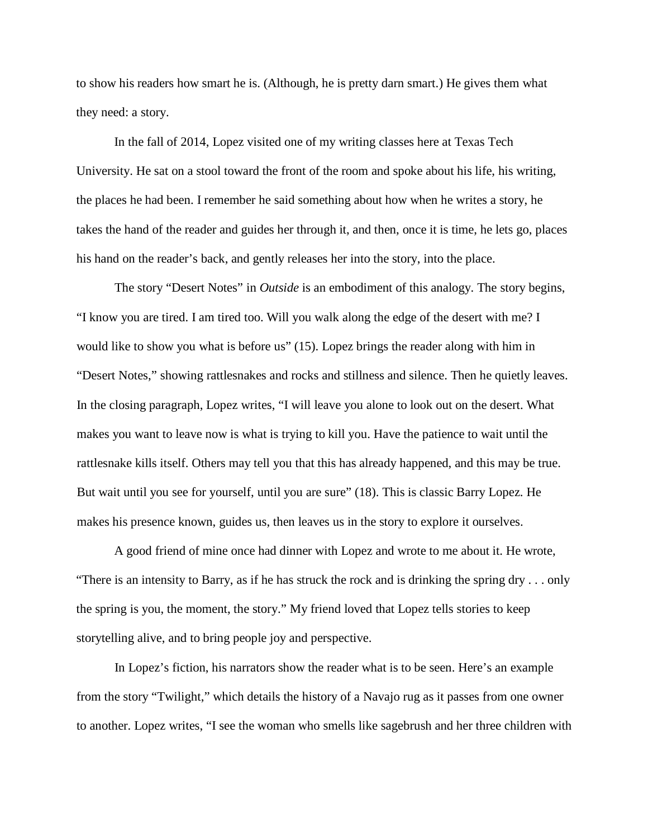to show his readers how smart he is. (Although, he is pretty darn smart.) He gives them what they need: a story.

In the fall of 2014, Lopez visited one of my writing classes here at Texas Tech University. He sat on a stool toward the front of the room and spoke about his life, his writing, the places he had been. I remember he said something about how when he writes a story, he takes the hand of the reader and guides her through it, and then, once it is time, he lets go, places his hand on the reader's back, and gently releases her into the story, into the place.

The story "Desert Notes" in *Outside* is an embodiment of this analogy. The story begins, "I know you are tired. I am tired too. Will you walk along the edge of the desert with me? I would like to show you what is before us" (15). Lopez brings the reader along with him in "Desert Notes," showing rattlesnakes and rocks and stillness and silence. Then he quietly leaves. In the closing paragraph, Lopez writes, "I will leave you alone to look out on the desert. What makes you want to leave now is what is trying to kill you. Have the patience to wait until the rattlesnake kills itself. Others may tell you that this has already happened, and this may be true. But wait until you see for yourself, until you are sure" (18). This is classic Barry Lopez. He makes his presence known, guides us, then leaves us in the story to explore it ourselves.

A good friend of mine once had dinner with Lopez and wrote to me about it. He wrote, "There is an intensity to Barry, as if he has struck the rock and is drinking the spring dry . . . only the spring is you, the moment, the story." My friend loved that Lopez tells stories to keep storytelling alive, and to bring people joy and perspective.

In Lopez's fiction, his narrators show the reader what is to be seen. Here's an example from the story "Twilight," which details the history of a Navajo rug as it passes from one owner to another. Lopez writes, "I see the woman who smells like sagebrush and her three children with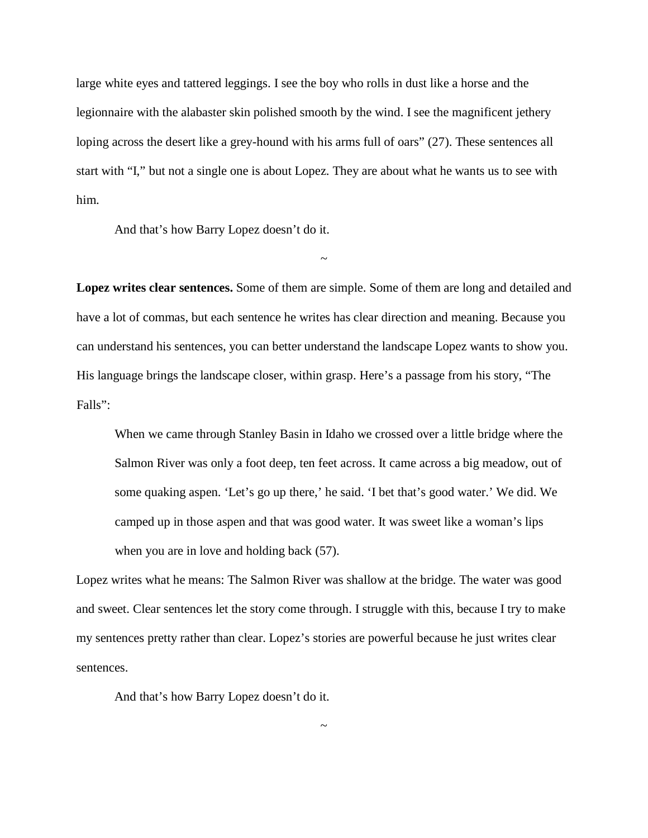large white eyes and tattered leggings. I see the boy who rolls in dust like a horse and the legionnaire with the alabaster skin polished smooth by the wind. I see the magnificent jethery loping across the desert like a grey-hound with his arms full of oars" (27). These sentences all start with "I," but not a single one is about Lopez. They are about what he wants us to see with him.

And that's how Barry Lopez doesn't do it.

**Lopez writes clear sentences.** Some of them are simple. Some of them are long and detailed and have a lot of commas, but each sentence he writes has clear direction and meaning. Because you can understand his sentences, you can better understand the landscape Lopez wants to show you. His language brings the landscape closer, within grasp. Here's a passage from his story, "The Falls":

~

When we came through Stanley Basin in Idaho we crossed over a little bridge where the Salmon River was only a foot deep, ten feet across. It came across a big meadow, out of some quaking aspen. 'Let's go up there,' he said. 'I bet that's good water.' We did. We camped up in those aspen and that was good water. It was sweet like a woman's lips when you are in love and holding back  $(57)$ .

Lopez writes what he means: The Salmon River was shallow at the bridge. The water was good and sweet. Clear sentences let the story come through. I struggle with this, because I try to make my sentences pretty rather than clear. Lopez's stories are powerful because he just writes clear sentences.

~

And that's how Barry Lopez doesn't do it.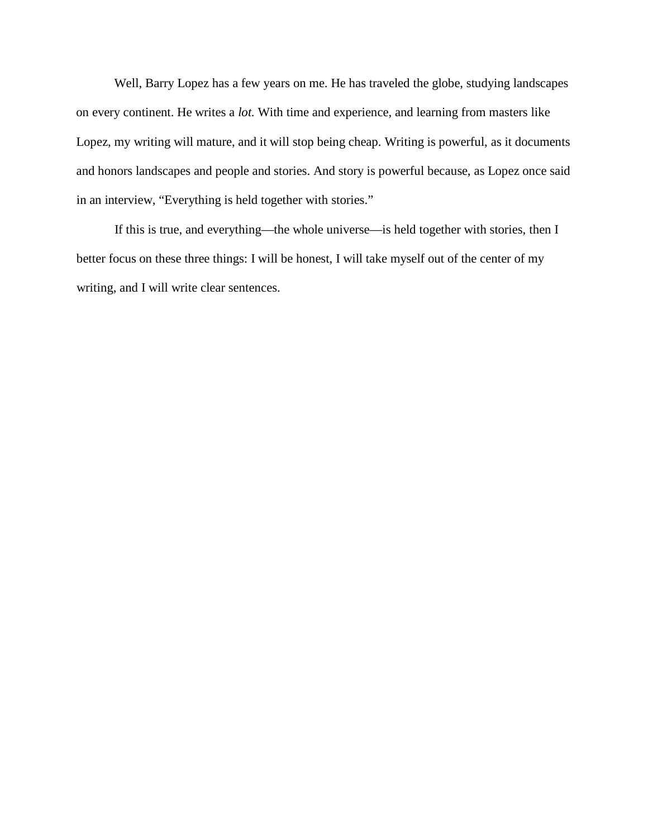Well, Barry Lopez has a few years on me. He has traveled the globe, studying landscapes on every continent. He writes a *lot.* With time and experience, and learning from masters like Lopez, my writing will mature, and it will stop being cheap. Writing is powerful, as it documents and honors landscapes and people and stories. And story is powerful because, as Lopez once said in an interview, "Everything is held together with stories."

If this is true, and everything—the whole universe—is held together with stories, then I better focus on these three things: I will be honest, I will take myself out of the center of my writing, and I will write clear sentences.